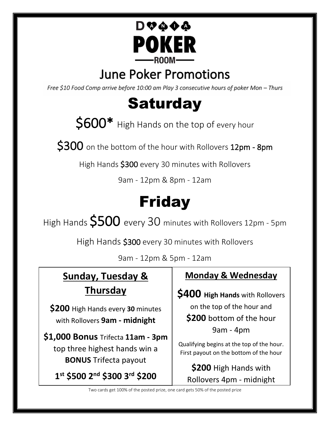

## June Poker Promotions

*Free \$10 Food Comp arrive before 10:00 am Play 3 consecutive hours of poker Mon – Thurs* 

# **Saturday**

 $$600*$  High Hands on the top of every hour

 $$300$  on the bottom of the hour with Rollovers 12pm - 8pm

High Hands \$300 every 30 minutes with Rollovers

9am - 12pm & 8pm - 12am

# Friday

High Hands  $$500$  every 30 minutes with Rollovers 12pm - 5pm

High Hands \$300 every 30 minutes with Rollovers

9am - 12pm & 5pm - 12am

## **Sunday, Tuesday & Thursday**

**\$200** High Hands every **30** minutes with Rollovers **9am - midnight**

**\$1,000 Bonus** Trifecta **11am - 3pm** top three highest hands win a **BONUS** Trifecta payout

**1 st \$500 2nd \$300 3rd \$200** 

### **Monday & Wednesday**

**\$400 High Hands** with Rollovers on the top of the hour and **\$200** bottom of the hour 9am - 4pm

Qualifying begins at the top of the hour. First payout on the bottom of the hour

**\$200** High Hands with Rollovers 4pm - midnight

Two cards get 100% of the posted prize, one card gets 50% of the posted prize